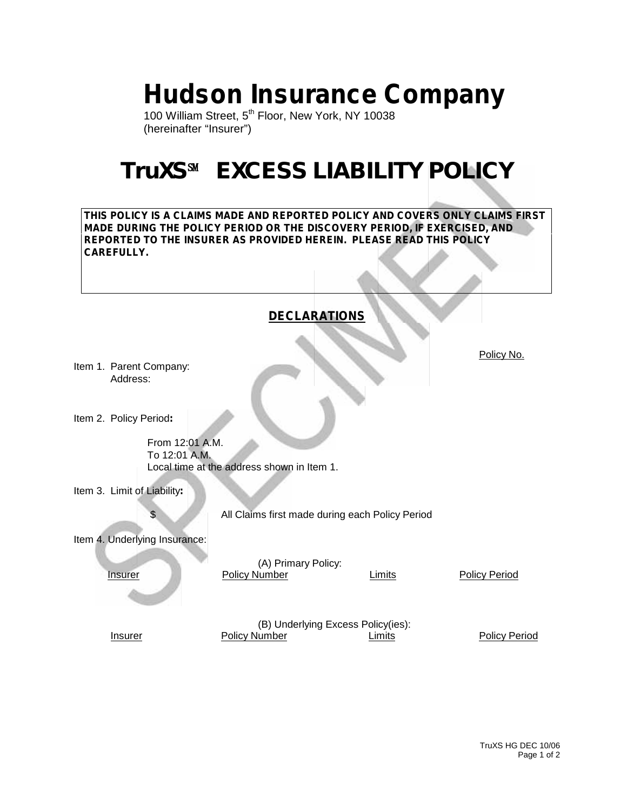# **Hudson Insurance Company**

100 William Street, 5<sup>th</sup> Floor, New York, NY 10038 (hereinafter "Insurer")

## **TruXS℠ EXCESS LIABILITY POLICY**

**THIS POLICY IS A CLAIMS MADE AND REPORTED POLICY AND COVERS ONLY CLAIMS FIRST MADE DURING THE POLICY PERIOD OR THE DISCOVERY PERIOD, IF EXERCISED, AND REPORTED TO THE INSURER AS PROVIDED HEREIN. PLEASE READ THIS POLICY CAREFULLY.**

|                                     | <b>DECLARATIONS</b>                             |        |                      |
|-------------------------------------|-------------------------------------------------|--------|----------------------|
| Item 1. Parent Company:<br>Address: |                                                 |        | Policy No.           |
| Item 2. Policy Period:              |                                                 |        |                      |
| From 12:01 A.M.<br>To 12:01 A.M.    | Local time at the address shown in Item 1.      |        |                      |
| Item 3. Limit of Liability:         |                                                 |        |                      |
| S                                   | All Claims first made during each Policy Period |        |                      |
| Item 4. Underlying Insurance:       |                                                 |        |                      |
| <b>Insurer</b>                      | (A) Primary Policy:<br><b>Policy Number</b>     | Limits | <b>Policy Period</b> |
|                                     | (B) Underlying Excess Policy(ies):              |        |                      |
| <b>Insurer</b>                      | <b>Policy Number</b>                            | Limits | <b>Policy Period</b> |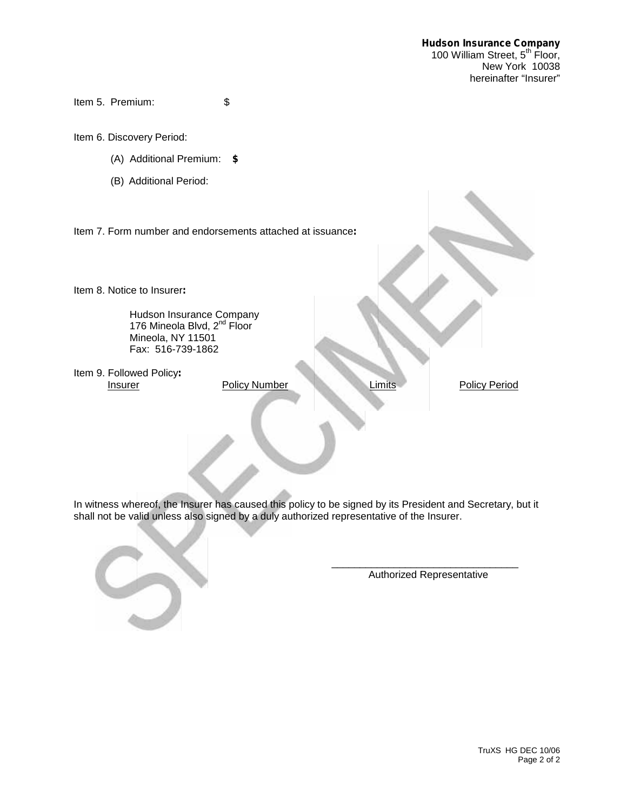Item 5. Premium: \$

Item 6. Discovery Period:

- (A) Additional Premium: **\$**
- (B) Additional Period:

Item 7. Form number and endorsements attached at issuance**:**

Item 8. Notice to Insurer**:**

Hudson Insurance Company 176 Mineola Blvd, 2<sup>nd</sup> Floor Mineola, NY 11501 Fax: 516-739-1862

Item 9. Followed Policy**:**

**Policy Number Limits Limits** Policy Period

In witness whereof, the Insurer has caused this policy to be signed by its President and Secretary, but it shall not be valid unless also signed by a duly authorized representative of the Insurer.

Authorized Representative

\_\_\_\_\_\_\_\_\_\_\_\_\_\_\_\_\_\_\_\_\_\_\_\_\_\_\_\_\_\_\_\_\_